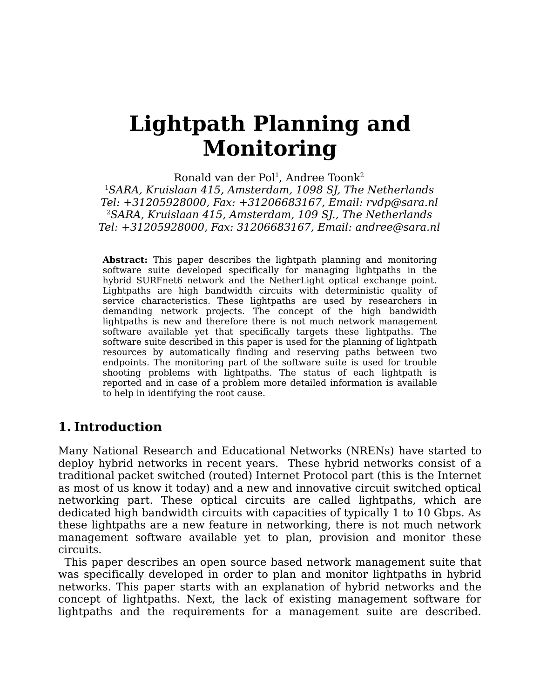# **Lightpath Planning and Monitoring**

Ronald van der Pol<sup>1</sup>, Andree Toonk<sup>2</sup> <sup>1</sup>SARA, Kruislaan 415, Amsterdam, 1098 SJ, The Netherlands Tel: +31205928000, Fax: +31206683167, Email: rvdp@sara.nl <sup>2</sup>SARA, Kruislaan 415, Amsterdam, 109 SJ., The Netherlands Tel: +31205928000, Fax: 31206683167, Email: andree@sara.nl

**Abstract:** This paper describes the lightpath planning and monitoring software suite developed specifically for managing lightpaths in the hybrid SURFnet6 network and the NetherLight optical exchange point. Lightpaths are high bandwidth circuits with deterministic quality of service characteristics. These lightpaths are used by researchers in demanding network projects. The concept of the high bandwidth lightpaths is new and therefore there is not much network management software available yet that specifically targets these lightpaths. The software suite described in this paper is used for the planning of lightpath resources by automatically finding and reserving paths between two endpoints. The monitoring part of the software suite is used for trouble shooting problems with lightpaths. The status of each lightpath is reported and in case of a problem more detailed information is available to help in identifying the root cause.

## **1. Introduction**

Many National Research and Educational Networks (NRENs) have started to deploy hybrid networks in recent years. These hybrid networks consist of a traditional packet switched (routed) Internet Protocol part (this is the Internet as most of us know it today) and a new and innovative circuit switched optical networking part. These optical circuits are called lightpaths, which are dedicated high bandwidth circuits with capacities of typically 1 to 10 Gbps. As these lightpaths are a new feature in networking, there is not much network management software available yet to plan, provision and monitor these circuits.

This paper describes an open source based network management suite that was specifically developed in order to plan and monitor lightpaths in hybrid networks. This paper starts with an explanation of hybrid networks and the concept of lightpaths. Next, the lack of existing management software for lightpaths and the requirements for a management suite are described.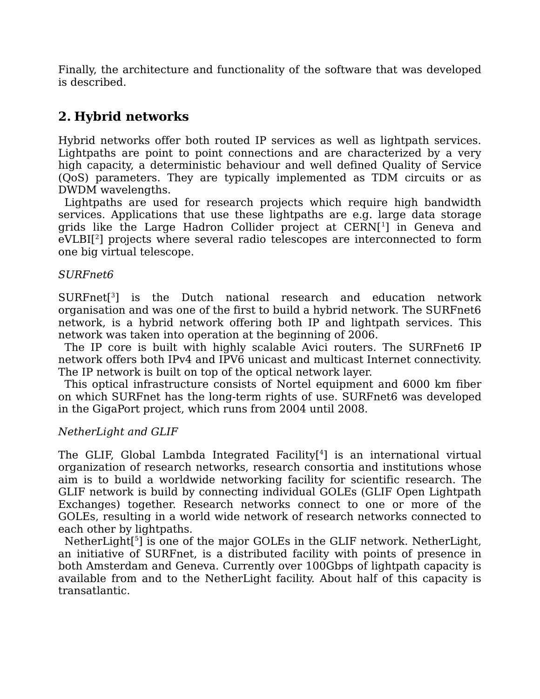Finally, the architecture and functionality of the software that was developed is described.

# **2. Hybrid networks**

Hybrid networks offer both routed IP services as well as lightpath services. Lightpaths are point to point connections and are characterized by a very high capacity, a deterministic behaviour and well defined Quality of Service (QoS) parameters. They are typically implemented as TDM circuits or as DWDM wavelengths.

Lightpaths are used for research projects which require high bandwidth services. Applications that use these lightpaths are e.g. large data storage grids like the Large Hadron Collider project at CERN[[1](#page-9-0) ] in Geneva and eVLBI[[2](#page-9-1) ] projects where several radio telescopes are interconnected to form one big virtual telescope.

#### SURFnet6

SURFnet[[3](#page-9-2) ] is the Dutch national research and education network organisation and was one of the first to build a hybrid network. The SURFnet6 network, is a hybrid network offering both IP and lightpath services. This network was taken into operation at the beginning of 2006.

The IP core is built with highly scalable Avici routers. The SURFnet6 IP network offers both IPv4 and IPV6 unicast and multicast Internet connectivity. The IP network is built on top of the optical network layer.

This optical infrastructure consists of Nortel equipment and 6000 km fiber on which SURFnet has the long-term rights of use. SURFnet6 was developed in the GigaPort project, which runs from 2004 until 2008.

#### NetherLight and GLIF

The GLIF, Global Lambda Integrated Facility[[4](#page-9-3) ] is an international virtual organization of research networks, research consortia and institutions whose aim is to build a worldwide networking facility for scientific research. The GLIF network is build by connecting individual GOLEs (GLIF Open Lightpath Exchanges) together. Research networks connect to one or more of the GOLEs, resulting in a world wide network of research networks connected to each other by lightpaths.

NetherLight<sup>[[5](#page-9-4)</sup>] is one of the major GOLEs in the GLIF network. NetherLight, an initiative of SURFnet, is a distributed facility with points of presence in both Amsterdam and Geneva. Currently over 100Gbps of lightpath capacity is available from and to the NetherLight facility. About half of this capacity is transatlantic.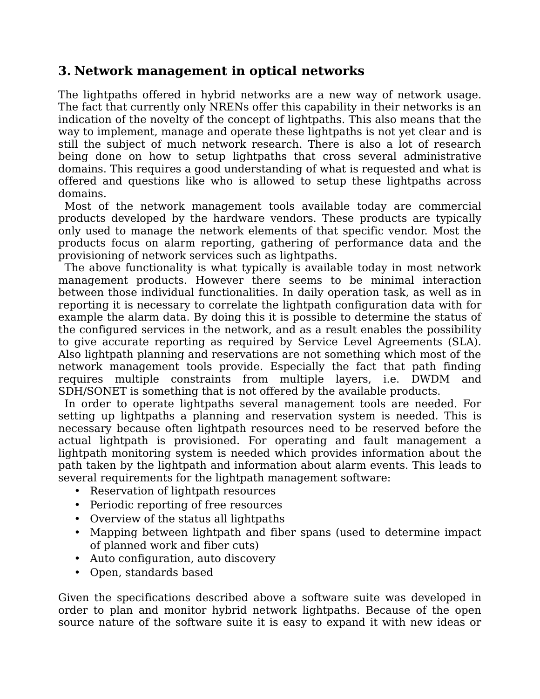### **3. Network management in optical networks**

The lightpaths offered in hybrid networks are a new way of network usage. The fact that currently only NRENs offer this capability in their networks is an indication of the novelty of the concept of lightpaths. This also means that the way to implement, manage and operate these lightpaths is not yet clear and is still the subject of much network research. There is also a lot of research being done on how to setup lightpaths that cross several administrative domains. This requires a good understanding of what is requested and what is offered and questions like who is allowed to setup these lightpaths across domains.

Most of the network management tools available today are commercial products developed by the hardware vendors. These products are typically only used to manage the network elements of that specific vendor. Most the products focus on alarm reporting, gathering of performance data and the provisioning of network services such as lightpaths.

The above functionality is what typically is available today in most network management products. However there seems to be minimal interaction between those individual functionalities. In daily operation task, as well as in reporting it is necessary to correlate the lightpath configuration data with for example the alarm data. By doing this it is possible to determine the status of the configured services in the network, and as a result enables the possibility to give accurate reporting as required by Service Level Agreements (SLA). Also lightpath planning and reservations are not something which most of the network management tools provide. Especially the fact that path finding requires multiple constraints from multiple layers, i.e. DWDM and SDH/SONET is something that is not offered by the available products.

In order to operate lightpaths several management tools are needed. For setting up lightpaths a planning and reservation system is needed. This is necessary because often lightpath resources need to be reserved before the actual lightpath is provisioned. For operating and fault management a lightpath monitoring system is needed which provides information about the path taken by the lightpath and information about alarm events. This leads to several requirements for the lightpath management software:

- Reservation of lightpath resources
- Periodic reporting of free resources
- Overview of the status all lightpaths
- Mapping between lightpath and fiber spans (used to determine impact of planned work and fiber cuts)
- Auto configuration, auto discovery
- Open, standards based

Given the specifications described above a software suite was developed in order to plan and monitor hybrid network lightpaths. Because of the open source nature of the software suite it is easy to expand it with new ideas or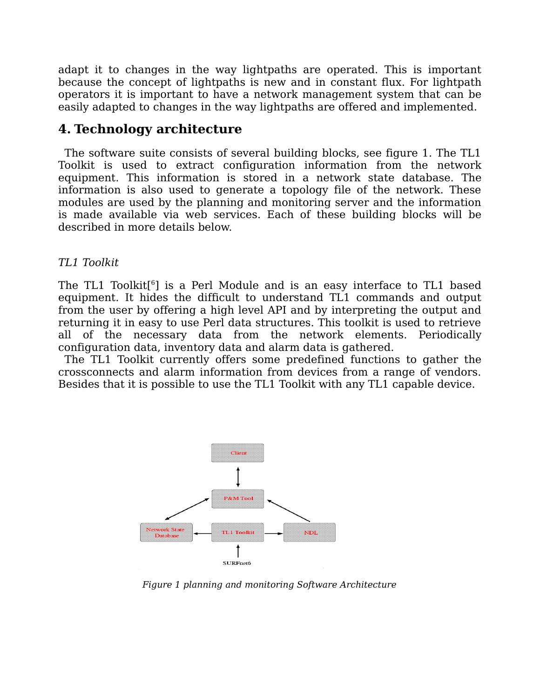adapt it to changes in the way lightpaths are operated. This is important because the concept of lightpaths is new and in constant flux. For lightpath operators it is important to have a network management system that can be easily adapted to changes in the way lightpaths are offered and implemented.

## **4. Technology architecture**

The software suite consists of several building blocks, see figure 1. The TL1 Toolkit is used to extract configuration information from the network equipment. This information is stored in a network state database. The information is also used to generate a topology file of the network. These modules are used by the planning and monitoring server and the information is made available via web services. Each of these building blocks will be described in more details below.

#### TL1 Toolkit

The TL1 Toolkit[[6](#page-9-5) ] is a Perl Module and is an easy interface to TL1 based equipment. It hides the difficult to understand TL1 commands and output from the user by offering a high level API and by interpreting the output and returning it in easy to use Perl data structures. This toolkit is used to retrieve all of the necessary data from the network elements. Periodically configuration data, inventory data and alarm data is gathered.

The TL1 Toolkit currently offers some predefined functions to gather the crossconnects and alarm information from devices from a range of vendors. Besides that it is possible to use the TL1 Toolkit with any TL1 capable device.



Figure 1 planning and monitoring Software Architecture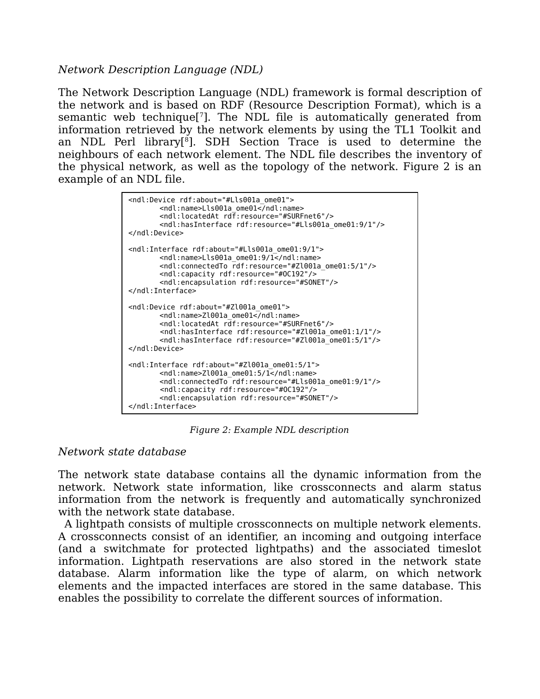#### Network Description Language (NDL)

The Network Description Language (NDL) framework is formal description of the network and is based on RDF (Resource Description Format), which is a semantic web technique<sup>[[7](#page-9-6)]</sup>. The NDL file is automatically generated from information retrieved by the network elements by using the TL1 Toolkit and an NDL Perl library[[8](#page-9-7) ]. SDH Section Trace is used to determine the neighbours of each network element. The NDL file describes the inventory of the physical network, as well as the topology of the network. Figure 2 is an example of an NDL file.

```
<ndl:Device rdf:about="#Lls001a_ome01">
       <ndl:name>Lls001a_ome01</ndl:name>
       <ndl:locatedAt rdf:resource="#SURFnet6"/>
       <ndl:hasInterface rdf:resource="#Lls001a_ome01:9/1"/>
</ndl:Device>
<ndl:Interface rdf:about="#Lls001a_ome01:9/1">
       <ndl:name>Lls001a_ome01:9/1</ndl:name>
       <ndl:connectedTo rdf:resource="#Zl001a_ome01:5/1"/>
       <ndl:capacity rdf:resource="#OC192"/>
       <ndl:encapsulation rdf:resource="#SONET"/>
</ndl:Interface>
<ndl:Device rdf:about="#Zl001a_ome01">
       <ndl:name>Zl001a ome01</ndl:name>
       <ndl:locatedAt rdf:resource="#SURFnet6"/>
       <ndl:hasInterface rdf:resource="#Zl001a_ome01:1/1"/>
       <ndl:hasInterface rdf:resource="#Zl001a_ome01:5/1"/>
</ndl:Device>
<ndl:Interface rdf:about="#Zl001a_ome01:5/1">
       <ndl:name>Zl001a_ome01:5/1</ndl:name>
       <ndl:connectedTo rdf:resource="#Lls001a_ome01:9/1"/>
       <ndl:capacity rdf:resource="#OC192"/>
       <ndl:encapsulation rdf:resource="#SONET"/>
</ndl:Interface>
```
Figure 2: Example NDL description

#### Network state database

The network state database contains all the dynamic information from the network. Network state information, like crossconnects and alarm status information from the network is frequently and automatically synchronized with the network state database.

A lightpath consists of multiple crossconnects on multiple network elements. A crossconnects consist of an identifier, an incoming and outgoing interface (and a switchmate for protected lightpaths) and the associated timeslot information. Lightpath reservations are also stored in the network state database. Alarm information like the type of alarm, on which network elements and the impacted interfaces are stored in the same database. This enables the possibility to correlate the different sources of information.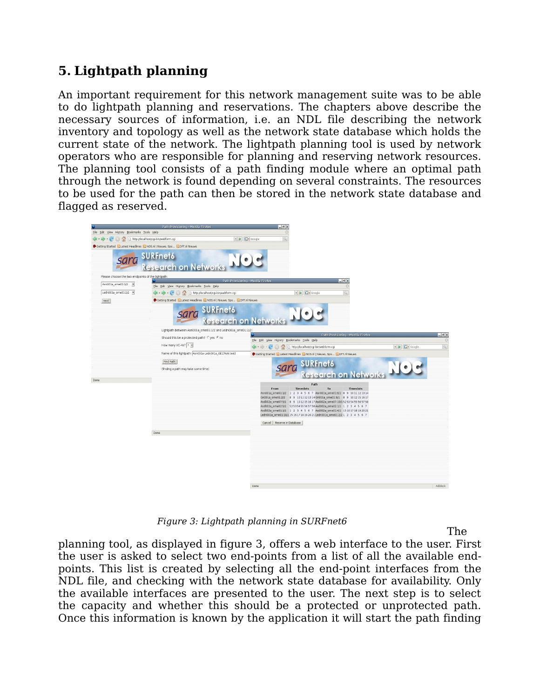# **5. Lightpath planning**

An important requirement for this network management suite was to be able to do lightpath planning and reservations. The chapters above describe the necessary sources of information, i.e. an NDL file describing the network inventory and topology as well as the network state database which holds the current state of the network. The lightpath planning tool is used by network operators who are responsible for planning and reserving network resources. The planning tool consists of a path finding module where an optimal path through the network is found depending on several constraints. The resources to be used for the path can then be stored in the network state database and flagged as reserved.



Figure 3: Lightpath planning in SURFnet6

planning tool, as displayed in figure 3, offers a web interface to the user. First the user is asked to select two end-points from a list of all the available endpoints. This list is created by selecting all the end-point interfaces from the NDL file, and checking with the network state database for availability. Only the available interfaces are presented to the user. The next step is to select the capacity and whether this should be a protected or unprotected path. Once this information is known by the application it will start the path finding

The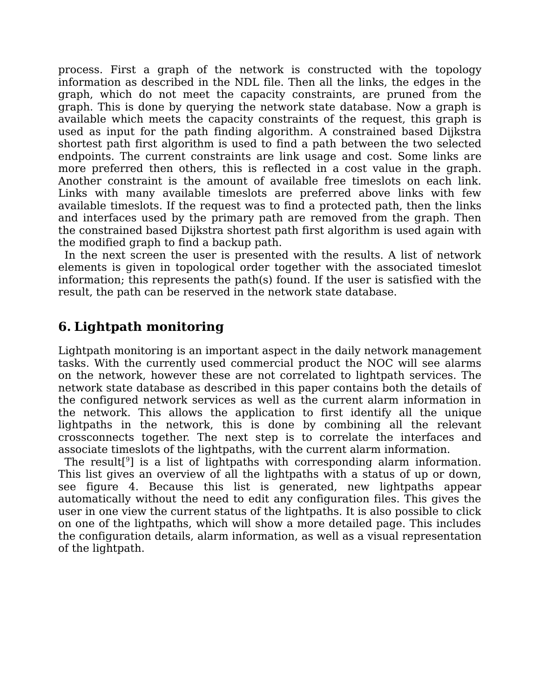process. First a graph of the network is constructed with the topology information as described in the NDL file. Then all the links, the edges in the graph, which do not meet the capacity constraints, are pruned from the graph. This is done by querying the network state database. Now a graph is available which meets the capacity constraints of the request, this graph is used as input for the path finding algorithm. A constrained based Dijkstra shortest path first algorithm is used to find a path between the two selected endpoints. The current constraints are link usage and cost. Some links are more preferred then others, this is reflected in a cost value in the graph. Another constraint is the amount of available free timeslots on each link. Links with many available timeslots are preferred above links with few available timeslots. If the request was to find a protected path, then the links and interfaces used by the primary path are removed from the graph. Then the constrained based Dijkstra shortest path first algorithm is used again with the modified graph to find a backup path.

In the next screen the user is presented with the results. A list of network elements is given in topological order together with the associated timeslot information; this represents the path(s) found. If the user is satisfied with the result, the path can be reserved in the network state database.

# **6. Lightpath monitoring**

Lightpath monitoring is an important aspect in the daily network management tasks. With the currently used commercial product the NOC will see alarms on the network, however these are not correlated to lightpath services. The network state database as described in this paper contains both the details of the configured network services as well as the current alarm information in the network. This allows the application to first identify all the unique lightpaths in the network, this is done by combining all the relevant crossconnects together. The next step is to correlate the interfaces and associate timeslots of the lightpaths, with the current alarm information.

The result<sup>[[9](#page-9-8)</sup>] is a list of lightpaths with corresponding alarm information. This list gives an overview of all the lightpaths with a status of up or down, see figure 4. Because this list is generated, new lightpaths appear automatically without the need to edit any configuration files. This gives the user in one view the current status of the lightpaths. It is also possible to click on one of the lightpaths, which will show a more detailed page. This includes the configuration details, alarm information, as well as a visual representation of the lightpath.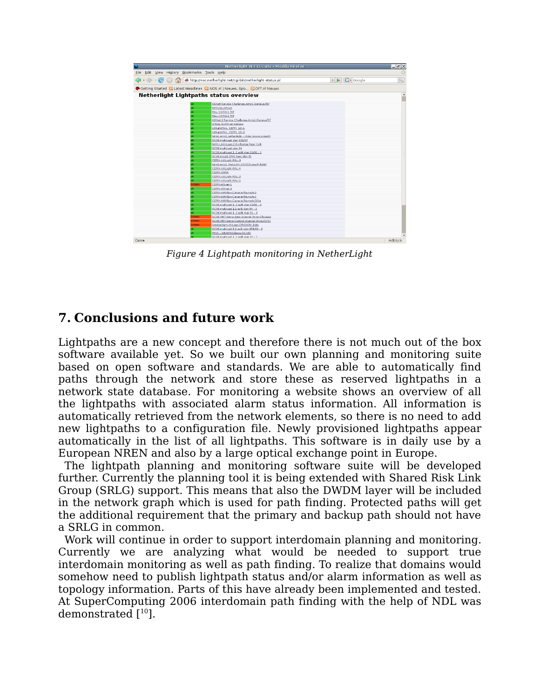|                                                |      | Netherlight TL1 Circuits - Mozilla Firefox                                                       |                                             | $ \sigma$ $\times$ |
|------------------------------------------------|------|--------------------------------------------------------------------------------------------------|---------------------------------------------|--------------------|
| Edit View History Bookmarks Tools Help<br>File |      |                                                                                                  |                                             |                    |
|                                                |      | 4 - < < < < < < < < < < < < < < < < All the://noc.netherlight.net/cgi-bin/netherlight-status.pl  | <b>G</b> Google<br>$\overline{\phantom{a}}$ | Q                  |
|                                                |      | Getting Started <b>b</b> Latest Headlines <b>b.</b> NOS.nl   Nieuws, Spo <b>b.</b> DFT.nl Nieuws |                                             |                    |
|                                                |      | Netherlight Lightpaths status overview                                                           |                                             |                    |
|                                                |      | ASNet Service Challenge-Ams1-Geneva-TST                                                          |                                             |                    |
|                                                |      | <b>RIPN/GLORIAD</b>                                                                              |                                             |                    |
|                                                |      | RAL-CERN-1 TST                                                                                   |                                             |                    |
|                                                |      | RAL-CERN-2 TST                                                                                   |                                             |                    |
|                                                |      | ASNet 2 Service Chalenge-Ams1-GenevaTST                                                          |                                             |                    |
|                                                |      |                                                                                                  |                                             |                    |
|                                                |      | 2,5Gig SURFnet-Abilene<br>UKight/RAL CERN 1G-1                                                   |                                             |                    |
|                                                |      | UKEght/RAL CERN 1G-2                                                                             |                                             |                    |
|                                                |      | tdml.amsl.netherlight -- Oslo (score project)                                                    |                                             |                    |
|                                                |      | SC06 multicast vlan 651/93                                                                       |                                             |                    |
|                                                |      | MAN LAN Laag 2 Exchange New York                                                                 |                                             |                    |
|                                                |      | SC06 multicast vlan 94                                                                           |                                             |                    |
|                                                |      | SC06 multicast 1 2 splt vlan 91/92 - 1                                                           |                                             |                    |
|                                                |      |                                                                                                  |                                             |                    |
|                                                |      | SC06 mcast OME loop vlan 91<br>CERN-UKLight-RAL-3                                                |                                             |                    |
|                                                |      |                                                                                                  |                                             |                    |
|                                                |      | tdm3.ams1 ManLAN-1GIG(Score-N-light)                                                             |                                             |                    |
|                                                |      | CERN-UKLight-RAL-4                                                                               |                                             |                    |
|                                                |      | CERN-SARA                                                                                        |                                             |                    |
|                                                |      | CERN-UKLight-RAL-2                                                                               |                                             |                    |
|                                                |      | CERN-UKLight-RAL-1                                                                               |                                             |                    |
|                                                | DOWN | CERN-ASnet-1                                                                                     |                                             |                    |
|                                                |      | CERN-ASnet-2                                                                                     |                                             |                    |
|                                                |      | CERN-MANIan-Canarie-Triumph-2                                                                    |                                             |                    |
|                                                |      | CERN-MANIan-Canarie-Triumph-1                                                                    |                                             |                    |
|                                                |      | CERN-MANIan-Canarie-Triumph-5Gig                                                                 |                                             |                    |
|                                                |      | SC06 multicast 1 2 splt vlan 91/92 - 2                                                           |                                             |                    |
|                                                |      | SC06 multicast 1:2 split vlan 94 - 2                                                             |                                             |                    |
|                                                |      | SC06 mutlicast 1 2 splt vlan 91 - 2                                                              |                                             |                    |
|                                                | DOWN | SC06 VMT demo data channel (Ams-Chicago)                                                         |                                             |                    |
|                                                | DOWN | SC06 VMT demo Control channel (Ams-NYC)                                                          |                                             |                    |
|                                                | DOWN | Amsterdam-chicago-DRAGON-1gbs                                                                    |                                             |                    |
|                                                |      | SC06 multicast 1:2 split vlan 651/93 - 2                                                         |                                             |                    |
|                                                |      | IRNC - GEANT/Abilene OC192                                                                       |                                             |                    |
|                                                |      | SC06 mutlicast 1-2 splt vlan 91 - 1                                                              |                                             | Adblock            |

Figure 4 Lightpath monitoring in NetherLight

## **7. Conclusions and future work**

Lightpaths are a new concept and therefore there is not much out of the box software available yet. So we built our own planning and monitoring suite based on open software and standards. We are able to automatically find paths through the network and store these as reserved lightpaths in a network state database. For monitoring a website shows an overview of all the lightpaths with associated alarm status information. All information is automatically retrieved from the network elements, so there is no need to add new lightpaths to a configuration file. Newly provisioned lightpaths appear automatically in the list of all lightpaths. This software is in daily use by a European NREN and also by a large optical exchange point in Europe.

The lightpath planning and monitoring software suite will be developed further. Currently the planning tool it is being extended with Shared Risk Link Group (SRLG) support. This means that also the DWDM layer will be included in the network graph which is used for path finding. Protected paths will get the additional requirement that the primary and backup path should not have a SRLG in common.

Work will continue in order to support interdomain planning and monitoring. Currently we are analyzing what would be needed to support true interdomain monitoring as well as path finding. To realize that domains would somehow need to publish lightpath status and/or alarm information as well as topology information. Parts of this have already been implemented and tested. At SuperComputing 2006 interdomain path finding with the help of NDL was demonstrated  $[10]$  $[10]$  $[10]$ .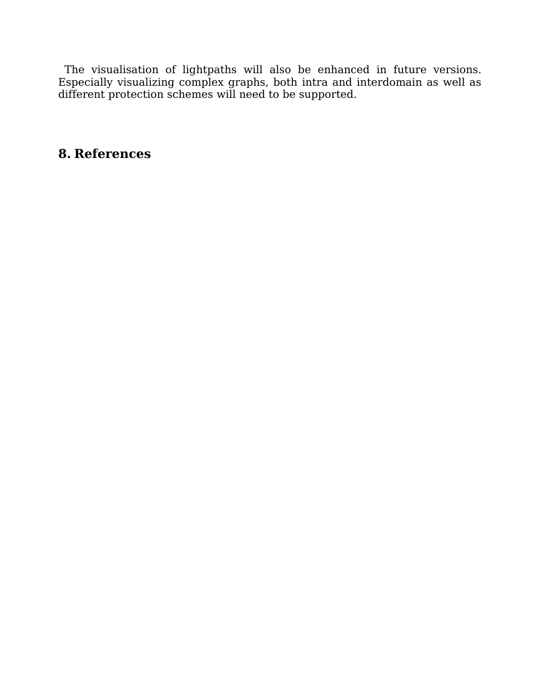The visualisation of lightpaths will also be enhanced in future versions. Especially visualizing complex graphs, both intra and interdomain as well as different protection schemes will need to be supported.

# **8. References**